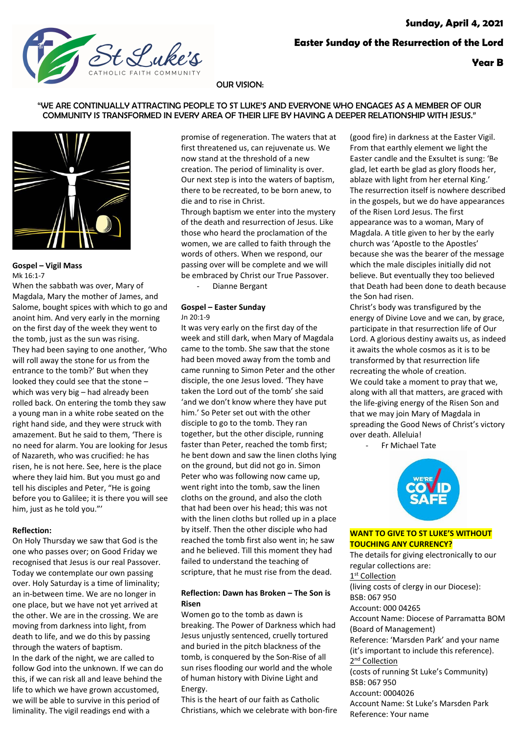

# OUR VISION:

## "WE ARE CONTINUALLY ATTRACTING PEOPLE TO ST LUKE'S AND EVERYONE WHO ENGAGES AS A MEMBER OF OUR COMMUNITY IS TRANSFORMED IN EVERY AREA OF THEIR LIFE BY HAVING A DEEPER RELATIONSHIP WITH JESUS."



**Gospel – Vigil Mass** Mk 16:1-7

When the sabbath was over, Mary of Magdala, Mary the mother of James, and Salome, bought spices with which to go and anoint him. And very early in the morning on the first day of the week they went to the tomb, just as the sun was rising. They had been saying to one another, 'Who will roll away the stone for us from the entrance to the tomb?' But when they looked they could see that the stone – which was very big – had already been rolled back. On entering the tomb they saw a young man in a white robe seated on the right hand side, and they were struck with amazement. But he said to them, 'There is no need for alarm. You are looking for Jesus of Nazareth, who was crucified: he has risen, he is not here. See, here is the place where they laid him. But you must go and tell his disciples and Peter, "He is going before you to Galilee; it is there you will see him, just as he told you."'

### **Reflection:**

On Holy Thursday we saw that God is the one who passes over; on Good Friday we recognised that Jesus is our real Passover. Today we contemplate our own passing over. Holy Saturday is a time of liminality; an in-between time. We are no longer in one place, but we have not yet arrived at the other. We are in the crossing. We are moving from darkness into light, from death to life, and we do this by passing through the waters of baptism. In the dark of the night, we are called to follow God into the unknown. If we can do this, if we can risk all and leave behind the life to which we have grown accustomed, we will be able to survive in this period of liminality. The vigil readings end with a

promise of regeneration. The waters that at first threatened us, can rejuvenate us. We now stand at the threshold of a new creation. The period of liminality is over. Our next step is into the waters of baptism, there to be recreated, to be born anew, to die and to rise in Christ.

Through baptism we enter into the mystery of the death and resurrection of Jesus. Like those who heard the proclamation of the women, we are called to faith through the words of others. When we respond, our passing over will be complete and we will be embraced by Christ our True Passover.

Dianne Bergant

#### **Gospel – Easter Sunday** Jn 20:1-9

It was very early on the first day of the week and still dark, when Mary of Magdala came to the tomb. She saw that the stone had been moved away from the tomb and came running to Simon Peter and the other disciple, the one Jesus loved. 'They have taken the Lord out of the tomb' she said 'and we don't know where they have put him.' So Peter set out with the other disciple to go to the tomb. They ran together, but the other disciple, running faster than Peter, reached the tomb first; he bent down and saw the linen cloths lying on the ground, but did not go in. Simon Peter who was following now came up, went right into the tomb, saw the linen cloths on the ground, and also the cloth that had been over his head; this was not with the linen cloths but rolled up in a place by itself. Then the other disciple who had reached the tomb first also went in; he saw and he believed. Till this moment they had failed to understand the teaching of scripture, that he must rise from the dead.

# **Reflection: Dawn has Broken – The Son is Risen**

Women go to the tomb as dawn is breaking. The Power of Darkness which had Jesus unjustly sentenced, cruelly tortured and buried in the pitch blackness of the tomb, is conquered by the Son-Rise of all sun rises flooding our world and the whole of human history with Divine Light and Energy.

This is the heart of our faith as Catholic Christians, which we celebrate with bon-fire (good fire) in darkness at the Easter Vigil. From that earthly element we light the Easter candle and the Exsultet is sung: 'Be glad, let earth be glad as glory floods her, ablaze with light from her eternal King.' The resurrection itself is nowhere described in the gospels, but we do have appearances of the Risen Lord Jesus. The first appearance was to a woman, Mary of Magdala. A title given to her by the early church was 'Apostle to the Apostles' because she was the bearer of the message which the male disciples initially did not believe. But eventually they too believed that Death had been done to death because the Son had risen.

Christ's body was transfigured by the energy of Divine Love and we can, by grace, participate in that resurrection life of Our Lord. A glorious destiny awaits us, as indeed it awaits the whole cosmos as it is to be transformed by that resurrection life recreating the whole of creation. We could take a moment to pray that we, along with all that matters, are graced with the life-giving energy of the Risen Son and that we may join Mary of Magdala in spreading the Good News of Christ's victory over death. Alleluia!

- Fr Michael Tate



# **WANT TO GIVE TO ST LUKE'S WITHOUT TOUCHING ANY CURRENCY?**

The details for giving electronically to our regular collections are: 1st Collection (living costs of clergy in our Diocese): BSB: 067 950 Account: 000 04265 Account Name: Diocese of Parramatta BOM (Board of Management) Reference: 'Marsden Park' and your name (it's important to include this reference). 2<sup>nd</sup> Collection (costs of running St Luke's Community) BSB: 067 950 Account: 0004026 Account Name: St Luke's Marsden Park Reference: Your name